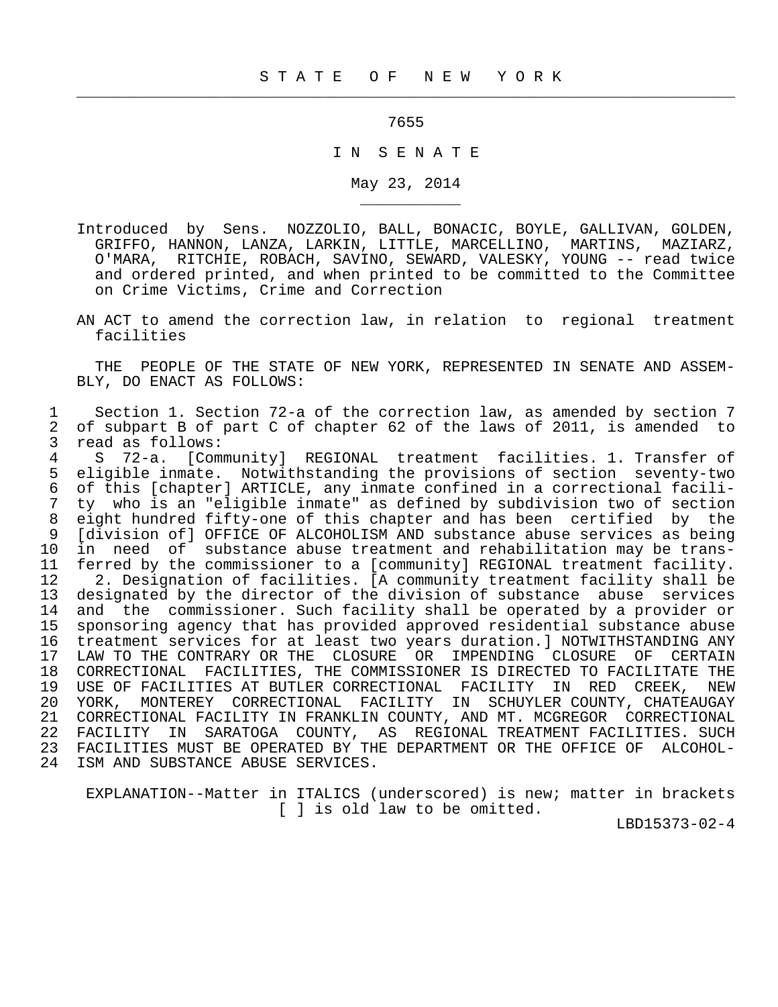## 7655

 $\frac{1}{2}$  , and the contribution of the contribution of the contribution of the contribution of the contribution of the contribution of the contribution of the contribution of the contribution of the contribution of the c

\_\_\_\_\_\_\_\_\_\_\_

## I N S E N A T E

May 23, 2014

- Introduced by Sens. NOZZOLIO, BALL, BONACIC, BOYLE, GALLIVAN, GOLDEN, GRIFFO, HANNON, LANZA, LARKIN, LITTLE, MARCELLINO, MARTINS, MAZIARZ, O'MARA, RITCHIE, ROBACH, SAVINO, SEWARD, VALESKY, YOUNG -- read twice and ordered printed, and when printed to be committed to the Committee on Crime Victims, Crime and Correction
- AN ACT to amend the correction law, in relation to regional treatment facilities

 THE PEOPLE OF THE STATE OF NEW YORK, REPRESENTED IN SENATE AND ASSEM- BLY, DO ENACT AS FOLLOWS:

1 Section 1. Section 72-a of the correction law, as amended by section 7<br>2 of subpart B of part C of chapter 62 of the laws of 2011, is amended to 2 of subpart B of part C of chapter 62 of the laws of 2011, is amended to<br>3 read as follows: 3 read as follows:<br>4 S 72-a, [Comm

 4 S 72-a. [Community] REGIONAL treatment facilities. 1. Transfer of 5 eligible inmate. Notwithstanding the provisions of section seventy-two 6 of this [chapter] ARTICLE, any inmate confined in a correctional facili- 7 ty who is an "eligible inmate" as defined by subdivision two of section 8 eight hundred fifty-one of this chapter and has been certified by the<br>9 Idivision ofl OFFICE OF ALCOHOLISM AND substance abuse services as being [division of] OFFICE OF ALCOHOLISM AND substance abuse services as being 10 in need of substance abuse treatment and rehabilitation may be trans-<br>11 ferred by the commissioner to a [community] REGIONAL treatment facility. 11 ferred by the commissioner to a [community] REGIONAL treatment facility.<br>12 2. Designation of facilities. [A community treatment facility shall be 12 2. Designation of facilities. [A community treatment facility shall be<br>13 designated by the director of the division of substance abuse services designated by the director of the division of substance abuse services 14 and the commissioner. Such facility shall be operated by a provider or 15 sponsoring agency that has provided approved residential substance abuse 16 treatment services for at least two years duration.] NOTWITHSTANDING ANY<br>17 LAW TO THE CONTRARY OR THE CLOSURE OR IMPENDING CLOSURE OF CERTAIN 17 LAW TO THE CONTRARY OR THE CLOSURE OR IMPENDING CLOSURE OF CERTAIN<br>18 CORRECTIONAL FACILITIES, THE COMMISSIONER IS DIRECTED TO FACILITATE THE 18 CORRECTIONAL FACILITIES, THE COMMISSIONER IS DIRECTED TO FACILITATE THE 19 USE OF FACILITIES AT BUTLER CORRECTIONAL FACILITY IN RED CREEK, NEW USE OF FACILITIES AT BUTLER CORRECTIONAL FACILITY IN RED CREEK, NEW 20 YORK, MONTEREY CORRECTIONAL FACILITY IN SCHUYLER COUNTY, CHATEAUGAY 21 CORRECTIONAL FACILITY IN FRANKLIN COUNTY, AND MT. MCGREGOR CORRECTIONAL<br>22 FACILITY IN SARATOGA COUNTY, AS REGIONAL TREATMENT FACILITIES. SUCH 22 FACILITY IN SARATOGA COUNTY, AS REGIONAL TREATMENT FACILITIES. SUCH<br>23 FACILITIES MUST BE OPERATED BY THE DEPARTMENT OR THE OFFICE OF ALCOHOL-23 FACILITIES MUST BE OPERATED BY THE DEPARTMENT OR THE OFFICE OF ALCOHOL-<br>24 ISM AND SUBSTANCE ABUSE SERVICES. ISM AND SUBSTANCE ABUSE SERVICES.

 EXPLANATION--Matter in ITALICS (underscored) is new; matter in brackets [ ] is old law to be omitted.

LBD15373-02-4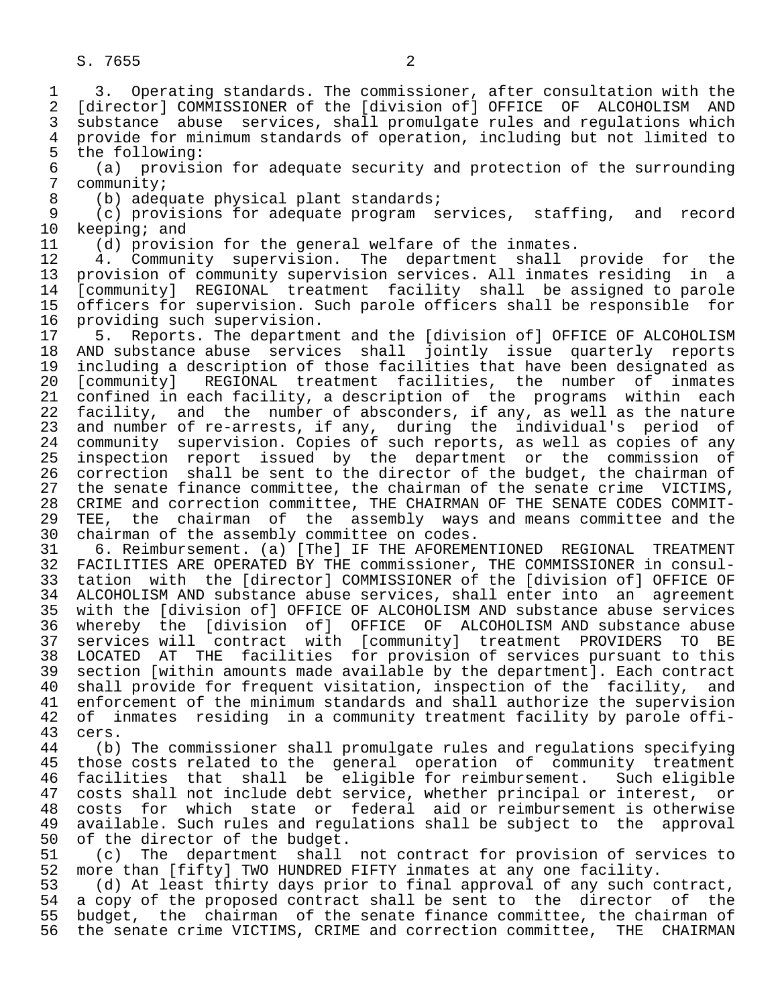1 3. Operating standards. The commissioner, after consultation with the<br>2 [director] COMMISSIONER of the [division of] OFFICE OF ALCOHOLISM AND 2 [director] COMMISSIONER of the [division of] OFFICE OF ALCOHOLISM AND<br>3 substance abuse services, shall promulgate rules and regulations which 3 substance abuse services, shall promulgate rules and regulations which<br>4 provide for minimum standards of operation, including but not limited to 4 provide for minimum standards of operation, including but not limited to<br>5 the following: 5 the following:<br>6 (a) provisi 6 (a) provision for adequate security and protection of the surrounding 7 community;<br>8 (b) adeq 8 (b) adequate physical plant standards;<br>9 (c) provisions for adequate program s 9 (c) provisions for adequate program services, staffing, and record<br>10 keeping; and 10 keeping; and<br>11 (d) provis: 11 (d) provision for the general welfare of the inmates.<br>12 4. Community supervision. The department shall 12 4. Community supervision. The department shall provide for the 13 provision of community supervision services. All inmates residing in a<br>14 [community] REGIONAL treatment facility shall be assigned to parole 14 [community] REGIONAL treatment facility shall be assigned to parole 15 officers for supervision. Such parole officers shall be responsible for<br>16 providing such supervision. 16 providing such supervision.<br>17 5. Reports. The departme 17 5. Reports. The department and the [division of] OFFICE OF ALCOHOLISM<br>18 AND substance abuse services shall jointly issue quarterly reports 18 AND substance abuse services shall jointly issue quarterly reports<br>19 including a description of those facilities that have been designated as 19 including a description of those facilities that have been designated as<br>20 [community] REGIONAL treatment facilities, the number of inmates 20 [community] REGIONAL treatment facilities, the number of inmates 21 confined in each facility, a description of the programs within each<br>22 facility, and the number of absconders, if any, as well as the nature 22 facility, and the number of absconders, if any, as well as the nature<br>23 and number of re-arrests, if any, during the individual's period of 23 and number of re-arrests, if any, during the individual's period of<br>24 community supervision. Copies of such reports, as well as copies of any 24 community supervision. Copies of such reports, as well as copies of any<br>25 inspection report issued by the department or the commission of inspection report issued by the department or the commission of 26 correction shall be sent to the director of the budget, the chairman of<br>27 the senate finance committee, the chairman of the senate crime VICTIMS, 27 the senate finance committee, the chairman of the senate crime VICTIMS,<br>28 CRIME and correction committee, THE CHAIRMAN OF THE SENATE CODES COMMIT-28 CRIME and correction committee, THE CHAIRMAN OF THE SENATE CODES COMMIT-<br>29 TEE, the chairman of the assembly ways and means committee and the 29 TEE, the chairman of the assembly ways and means committee and the 2008 chairman of the assembly committee on codes. 30 chairman of the assembly committee on codes.<br>31 6. Reimbursement. (a) [The] IF THE AFOREME 31 6. Reimbursement. (a) [The] IF THE AFOREMENTIONED REGIONAL TREATMENT<br>32 FACILITIES ARE OPERATED BY THE commissioner, THE COMMISSIONER in consul-32 FACILITIES ARE OPERATED BY THE commissioner, THE COMMISSIONER in consul-<br>33 tation with the [director] COMMISSIONER of the [division of] OFFICE OF 33 tation with the [director] COMMISSIONER of the [division of] OFFICE OF 34 ALCOHOLISM AND substance abuse services, shall enter into an agreement<br>35 with the [division of] OFFICE OF ALCOHOLISM AND substance abuse services 35 with the [division of] OFFICE OF ALCOHOLISM AND substance abuse services 36 whereby the [division of] OFFICE OF ALCOHOLISM AND substance abuse 37 services will contract with [community] treatment PROVIDERS TO BE<br>38 LOCATED AT THE facilities for provision of services pursuant to this 38 LOCATED AT THE facilities for provision of services pursuant to this<br>39 section [within amounts made available by the department]. Each contract 39 section [within amounts made available by the department]. Each contract<br>40 shall provide for frequent visitation, inspection of the facility, and 40 shall provide for frequent visitation, inspection of the facility, and<br>41 enforcement of the minimum standards and shall authorize the supervision 41 enforcement of the minimum standards and shall authorize the supervision<br>42 of inmates residing in a community treatment facility by parole offi-42 of inmates residing in a community treatment facility by parole offi-<br>43 cers. 43 cers.<br>44 (b) 44 (b) The commissioner shall promulgate rules and regulations specifying<br>45 those costs related to the general operation of community treatment those costs related to the general operation of community treatment 46 facilities that shall be eligible for reimbursement. Such eligible<br>47 costs shall not include debt service, whether principal or interest, or 47 costs shall not include debt service, whether principal or interest, or<br>48 costs for which state or federal aid or reimbursement is otherwise 48 costs for which state or federal aid or reimbursement is otherwise<br>49 available. Such rules and regulations shall be subject to the approval

49 available. Such rules and regulations shall be subject to the approval<br>50 of the director of the budget. 50 of the director of the budget.<br>51 (c) The department shall 51 (c) The department shall not contract for provision of services to<br>52 more than [fifty] TWO HUNDRED FIFTY inmates at any one facility. 52 more than [fifty] TWO HUNDRED FIFTY inmates at any one facility.<br>53 (d) At least thirty days prior to final approval of any such c

53 (d) At least thirty days prior to final approval of any such contract,<br>54 a copy of the proposed contract shall be sent to the director of the 54 a copy of the proposed contract shall be sent to the director of the<br>55 budget, the chairman of the senate finance committee, the chairman of 55 budget, the chairman of the senate finance committee, the chairman of<br>56 the senate crime VICTIMS, CRIME and correction committee, THE CHAIRMAN the senate crime VICTIMS, CRIME and correction committee,